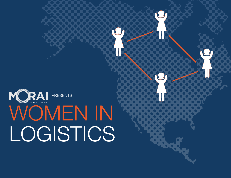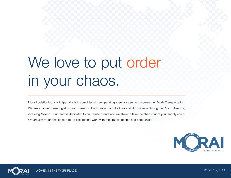# We love to put order in your chaos.

Morai Logistics Inc. is a 3rd party logistics provider with an operating agency agreement representing Mode Transportation. We are a powerhouse logistics team based in the Greater Toronto Area and do business throughout North America, including Mexico. Our team is dedicated to our terrific clients and we strive to take the chaos out of your supply chain. We are always on the lookout to do exceptional work with remarkable people and companies!



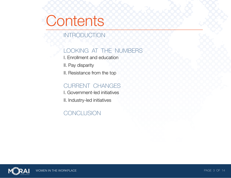# **Contents**

### INTRODUCTION

### LOOKING AT THE NUMBERS

- I. Enrollment and education
- II. Pay disparity
- II. Resistance from the top

### CURRENT CHANGES

- I. Government-led initiatives
- II. Industry-led initiatives

### **CONCLUSION**

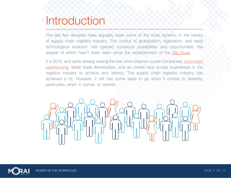## **Introduction**

The last few decades have arguably been some of the most dynamic in the history of supply chain logistics industry. The conflux of globalization, digitization, and rapid technological evolution has opened numerous possibilities and opportunities, the degree of which hasn't been seen since the establishment of the **Silk Road**.

It is 2015, and we're already seeing the rise omni-channel courier companies, automated [warehousing,](http://www.kivasystems.com/) faster trade liberalization, and an overall race across businesses in the logistics industry to achieve zero latency. The supply chain logistics industry has achieved a lot. However, it still has some ways to go when it comes to diversity, particularly when it comes to women.



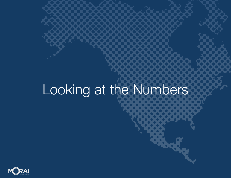# Looking at the Numbers

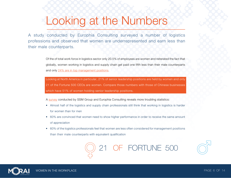## Looking at the Numbers

A study conducted by [Europhia Consulting](http://www.academia.edu/7852494/Breaking_Barriers_Women_in_Logistics) surveyed a number of logistics professions and observed that women are underrepresented and earn less than their male counterparts.

> Of the of total work force in logistics sector only 20.5% of employees are women and reiterated the fact that globally, women working in logistics and supply chain get paid one fifth less than their male counterparts and only [24% are in top management positions.](http://www.forbes.com/sites/tatianaserafin/2013/03/08/c-suite-sees-more-female-leaders-reaching-top/)

> Looking at North America in particular, 21% of senior leadership positions are held by women and only 21 of the Fortune 500 CEOs are women. Compare those numbers with those of Chinese businesses which have 51% of women holding senior leadership positions.

A [survey](http://www.ssmgroup.org/PDF/library/Women%20in%20Logistics%20Management.pdf) conducted by SSM Group and Europhia Consulting reveals more troubling statistics:

- Almost half of the logistics and supply chain professionals still think that working in logistics is harder for women than for men
- 60% are convinced that women need to show higher performance in order to receive the same amount of appreciation
- 60% of the logistics professionals feel that women are less often considered for management positions than their male counterparts with equivalent qualification



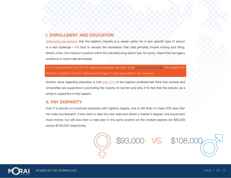#### I. ENROLLMENT AND EDUCATION

[Addressing perceptions](http://careers.theguardian.com/women-logistics-diverse-workforce-career-opportunities) that the logistics industry is a career option for a very specific type of person is a real challenge – it's hard to escape the impression that roles primarily involve moving and lifting. What's more, the industry's position within the manufacturing sector has, for some, meant that the legacy workforce is more male dominated.

It's no surprise then that 65% of logistics graduates are male, while [only 35% are female.](http://morailogistics.com/infographic-the-status-of-women-in-the-logistics-industry/) This means that the field of logistics has the highest percentage of male graduates in any business.

Another issue regarding education is that [only 27%](http://www.ssmgroup.org/PDF/library/Women%20in%20Logistics%20Management.pdf) of the logistics professionals think that schools and Universities are supportive in promoting the industry to women and only 21% feel that the industry as a whole is supportive in this respect.

#### II. PAY DISPARITY

Even if a woman is a business graduate with logistics degree, she is still likely to make 20% less than her male counterparts. If she were to take the next step and obtain a master's degree, she would earn more money, but still less than a male peer in the same position as the median salaries are \$93,000 versus \$108,000 respectively.

\$93,000 VS. \$108,000

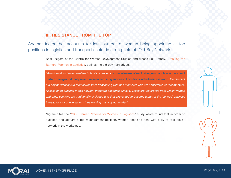#### III. RESISTANCE FROM THE TOP

Another factor that accounts for less number of women being appointed at top positions in logistics and transport sector is strong hold of 'Old Boy Network'.

> Shalu Nigam of the Centre for Woman Development Studies and whose 2010 study, [Breaking the](http://papers.ssrn.com/sol3/papers.cfm?abstract_id=2428088)  [Barriers: Women in Logistics,](http://papers.ssrn.com/sol3/papers.cfm?abstract_id=2428088) defines the old boy network as,

> *"An informal system or an elite circle of influence or* powerful nexus of exclusive group or class or people of certain background that prevent women acquiring successful positions in the business world. *Members of old boy network shield themselves from transacting with non members who are considered as incompetent. Access of an outsider in this network therefore becomes difficult. These are the arenas from which women and other sections are traditionally excluded and thus prevented to become a part of the 'serious' business transactions or conversations thus missing many opportunities".*

> Nigram cites the "[2006 Career Patterns for Women in Logistics](http://www.supplychainquarterly.com/news/scq200702forward_women/)" study which found that in order to succeed and acquire a top management position, women needs to deal with bully of "old boys'" network in the workplace.



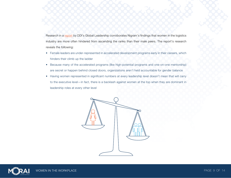Research in a [report](http://www.ddiworld.com/resources/library/trend-research/holding-women-back) by DDI's Global Leadership corroborates Nigram's findings that women in the logistics industry are more often hindered from ascending the ranks than their male peers. The report's research reveals the following:

- Female leaders are under-represented in accelerated development programs early in their careers, which hinders their climb up the ladder
- Because many of the accelerated programs (like high-potential programs and one-on-one mentorship) are secret or happen behind closed doors, organizations aren't held accountable for gender balance
- Having women represented in significant numbers at every leadership level doesn't mean that will carry to the executive level—in fact, there is a backlash against women at the top when they are dominant in leadership roles at every other level



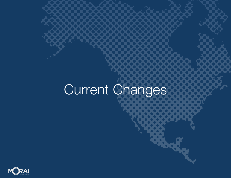# Current Changes

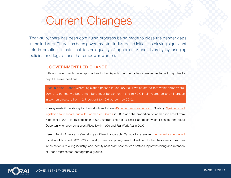## Current Changes

Thankfully, there has been continuing progress being made to close the gender gaps in the industry. There has been governmental, industry-led initiatives playing significant role in creating climate that foster equality of opportunity and diversity by bringing policies and legislations that empower women.

#### I. GOVERNMENT LED CHANGE

Different governments have approaches to the disparity. Europe for has example has turned to quotas to help fill C-level positions.

ase in point: [France](http://www.forbes.com/places/france/) where legislation passed in January 2011 which stated that within three years, 20% of a company's board members must be women, rising to 40% in six years, led to an increase in women directors from 12.7 percent to 16.6 percent by 2012.

Norway made it mandatory for the institutions to have [40 percent women on board.](http://www.academia.edu/7852494/Breaking_Barriers_Women_in_Logistics) Similarly, Spain enacted [legislation to mandate quota for women on Boards](http://scholar.harvard.edu/rpande/files/gender_quotas_-_april_2011.pdf) in 2007 and the proportion of women increased from 6 percent in 2007 to 10 percent in 2009. Australia also took a similar approach when it enacted the Equal Opportunity for Women at Work Place law in 1999 and Fair Work Act in 2009.

Here in North America, we're taking a different approach. Canada for example, [has recently announced](http://www.canadianshipper.com/transportation-and-logistics/federal-funds-to-help-trucking-industry-mentor-women-hire-members-of-underrepresented-groups/1003366247/)  that it would commit \$421,720 to develop mentorship programs that will help further the careers of women in the nation's trucking industry, and identify best practices that can better support the hiring and retention of under-represented demographic groups.

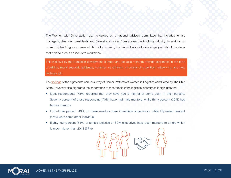The Women with Drive action plan is guided by a national advisory committee that includes female managers, directors, presidents and C-level executives from across the trucking industry. In addition to promoting trucking as a career of choice for women, the plan will also educate employers about the steps that help to create an inclusive workplace.

This initiative by the Canadian government is important because mentors provide assistance in the form of advice, moral support, guidance, constructive criticism, understanding politics, networking, and help finding a job.

The [findings o](https://cscmp.org/member-benefits/women-logistics)f the eighteenth annual survey of Career Patterns of Women in Logistics conducted by The Ohio State University also highlights the importance of mentorship inthe logistics industry as it highlights that:

- Most respondents (73%) reported that they have had a mentor at some point in their careers, Seventy percent of those responding (70%) have had male mentors, while thirty percent (30%) had female mentors
- Forty-three percent (43%) of these mentors were immediate supervisors, while fifty-seven percent (57%) were some other individual
- Eighty-four percent (84%) of female logistics or SCM executives have been mentors to others which is much higher than 2013 (77%)



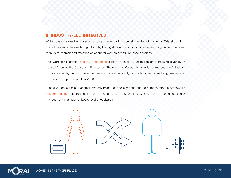#### II. INDUSTRY-LED INITIATIVES

While government-led initiatives focus on at simply having a certain number of women at C-level position, the policies and initiatives brought forth by the logistics industry focus more on removing barrier to upward mobility for women and retention of labour for women already at those positions.

Intel Corp for example, [recently announced](http://www.reuters.com/article/2015/01/20/us-intel-diversity-idUSKBN0KT1A320150120) a plan to invest \$300 million on increasing diversity in its workforce at the Consumer Electronics Show in Las Vegas. Its plan is to improve the "pipeline" of candidates by helping more women and minorities study computer science and engineering and diversify its employee pool by 2020.

Executive sponsorship is another strategy being used to close the gap as demonstrated in Stonewall's [research findings](http://www.stonewall.org.uk/at_work/stonewall_top_100_employers/) highlighted that out of Britain's top 100 employers, 87% have a nominated senior management champion at board level or equivalent.